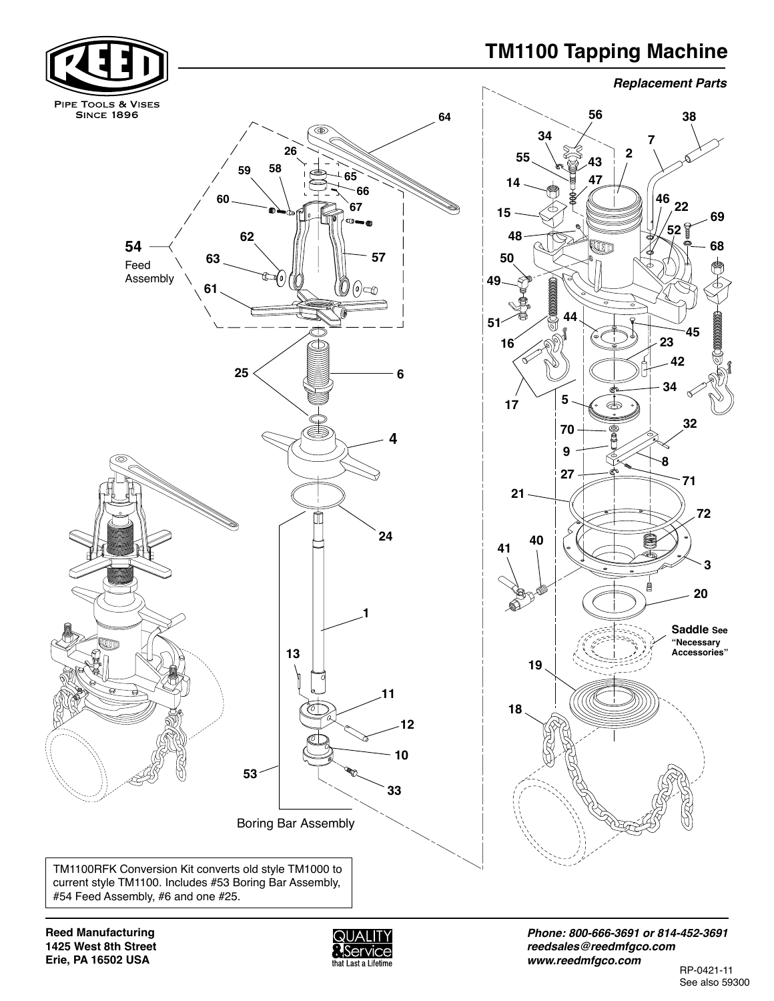## **TM1100 Tapping Machine Replacement Parts TM1100 Tapping Machine**



**Reed Manufacturing 1425 West 8th Street Erie, PA 16502 USA Erie, PA 16502 USA** 



*Phone: 800-666-3691 or 814-452-3691*  **Fax: 800-456-1697 or 814-455-1697** *reedsales@reedmfgco.com* **www.reedmfgco.com** *www.reedmfgco.com*